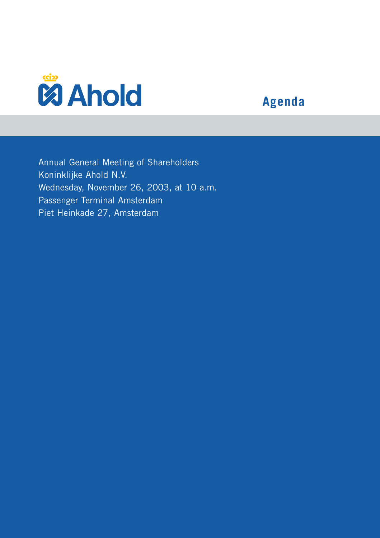

## **Agenda**

Annual General Meeting of Shareholders Koninklijke Ahold N.V. Wednesday, November 26, 2003, at 10 a.m. Passenger Terminal Amsterdam Piet Heinkade 27, Amsterdam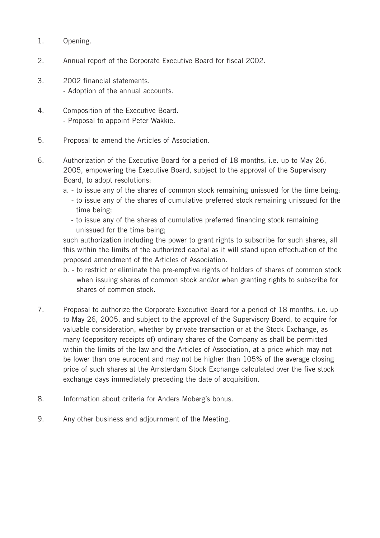- 1. Opening.
- 2. Annual report of the Corporate Executive Board for fiscal 2002.
- 3. 2002 financial statements. - Adoption of the annual accounts.
- 4. Composition of the Executive Board. - Proposal to appoint Peter Wakkie.
- 5. Proposal to amend the Articles of Association.
- 6. Authorization of the Executive Board for a period of 18 months, i.e. up to May 26, 2005, empowering the Executive Board, subject to the approval of the Supervisory Board, to adopt resolutions:
	- a. to issue any of the shares of common stock remaining unissued for the time being;
		- to issue any of the shares of cumulative preferred stock remaining unissued for the time being;
		- to issue any of the shares of cumulative preferred financing stock remaining unissued for the time being;

such authorization including the power to grant rights to subscribe for such shares, all this within the limits of the authorized capital as it will stand upon effectuation of the proposed amendment of the Articles of Association.

- b. to restrict or eliminate the pre-emptive rights of holders of shares of common stock when issuing shares of common stock and/or when granting rights to subscribe for shares of common stock.
- 7. Proposal to authorize the Corporate Executive Board for a period of 18 months, i.e. up to May 26, 2005, and subject to the approval of the Supervisory Board, to acquire for valuable consideration, whether by private transaction or at the Stock Exchange, as many (depository receipts of) ordinary shares of the Company as shall be permitted within the limits of the law and the Articles of Association, at a price which may not be lower than one eurocent and may not be higher than 105% of the average closing price of such shares at the Amsterdam Stock Exchange calculated over the five stock exchange days immediately preceding the date of acquisition.
- 8. Information about criteria for Anders Moberg's bonus.
- 9. Any other business and adjournment of the Meeting.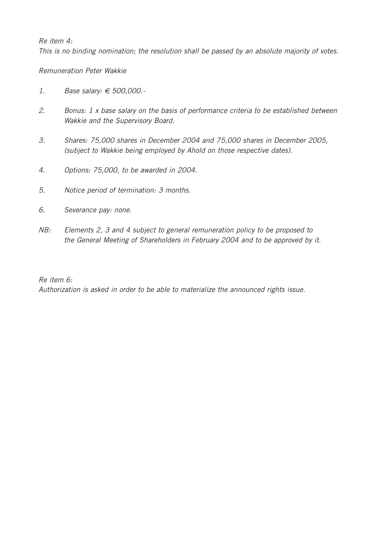## *Re item 4:*

*This is no binding nomination; the resolution shall be passed by an absolute majority of votes.*

## *Remuneration Peter Wakkie*

- *1. Base salary: € 500,000.-*
- *2. Bonus: 1 x base salary on the basis of performance criteria to be established between Wakkie and the Supervisory Board.*
- *3. Shares: 75,000 shares in December 2004 and 75,000 shares in December 2005, (subject to Wakkie being employed by Ahold on those respective dates).*
- *4. Options: 75,000, to be awarded in 2004.*
- *5. Notice period of termination: 3 months.*
- *6. Severance pay: none.*
- *NB: Elements 2, 3 and 4 subject to general remuneration policy to be proposed to the General Meeting of Shareholders in February 2004 and to be approved by it.*

## *Re item 6:*

*Authorization is asked in order to be able to materialize the announced rights issue.*